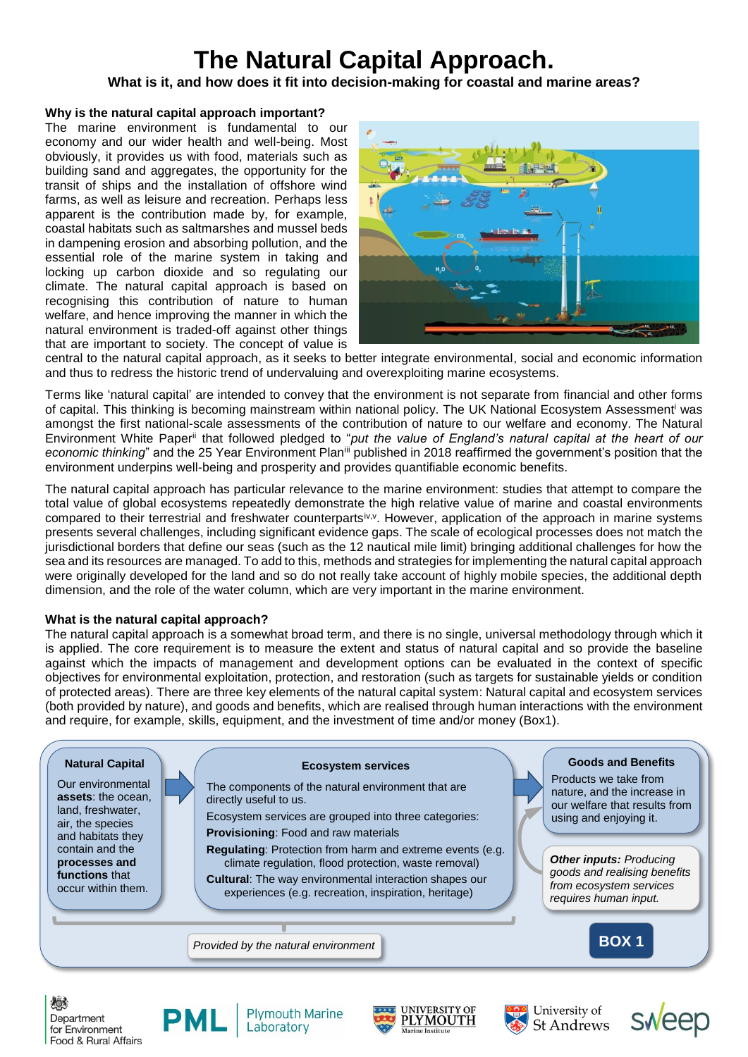# **The Natural Capital Approach.**

**What is it, and how does it fit into decision-making for coastal and marine areas?**

## **Why is the natural capital approach important?**

The marine environment is fundamental to our economy and our wider health and well-being. Most obviously, it provides us with food, materials such as building sand and aggregates, the opportunity for the transit of ships and the installation of offshore wind farms, as well as leisure and recreation. Perhaps less apparent is the contribution made by, for example, coastal habitats such as saltmarshes and mussel beds in dampening erosion and absorbing pollution, and the essential role of the marine system in taking and locking up carbon dioxide and so regulating our climate. The natural capital approach is based on recognising this contribution of nature to human welfare, and hence improving the manner in which the natural environment is traded-off against other things that are important to society. The concept of value is



central to the natural capital approach, as it seeks to better integrate environmental, social and economic information and thus to redress the historic trend of undervaluing and overexploiting marine ecosystems.

Terms like 'natural capital' are intended to convey that the environment is not separate from financial and other forms of capital. This thinking is becoming mainstream within national policy. The UK National Ecosystem Assessment<sup>i</sup> was amongst the first national-scale assessments of the contribution of nature to our welfare and economy. The Natural Environment White Paperii that followed pledged to "*put the value of England's natural capital at the heart of our economic thinking*" and the 25 Year Environment Planiii published in 2018 reaffirmed the government's position that the environment underpins well-being and prosperity and provides quantifiable economic benefits.

The natural capital approach has particular relevance to the marine environment: studies that attempt to compare the total value of global ecosystems repeatedly demonstrate the high relative value of marine and coastal environments compared to their terrestrial and freshwater counterparts<sup>iv, v</sup>. However, application of the approach in marine systems presents several challenges, including significant evidence gaps. The scale of ecological processes does not match the jurisdictional borders that define our seas (such as the 12 nautical mile limit) bringing additional challenges for how the sea and its resources are managed. To add to this, methods and strategies for implementing the natural capital approach were originally developed for the land and so do not really take account of highly mobile species, the additional depth dimension, and the role of the water column, which are very important in the marine environment.

## **What is the natural capital approach?**

The natural capital approach is a somewhat broad term, and there is no single, universal methodology through which it is applied. The core requirement is to measure the extent and status of natural capital and so provide the baseline against which the impacts of management and development options can be evaluated in the context of specific objectives for environmental exploitation, protection, and restoration (such as targets for sustainable yields or condition of protected areas). There are three key elements of the natural capital system: Natural capital and ecosystem services (both provided by nature), and goods and benefits, which are realised through human interactions with the environment and require, for example, skills, equipment, and the investment of time and/or money (Box1).



次のす Department for Environment Food & Rural Affairs



**Plymouth Marine** Laboratory





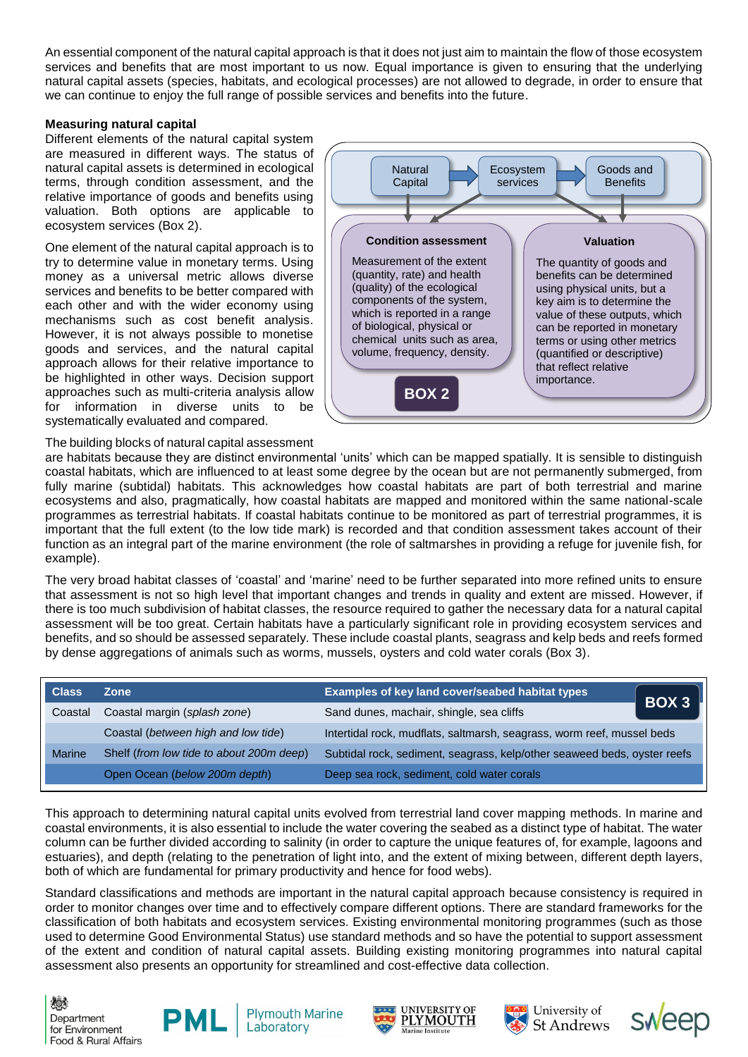An essential component of the natural capital approach is that it does not just aim to maintain the flow of those ecosystem services and benefits that are most important to us now. Equal importance is given to ensuring that the underlying natural capital assets (species, habitats, and ecological processes) are not allowed to degrade, in order to ensure that we can continue to enjoy the full range of possible services and benefits into the future.

### **Measuring natural capital**

Different elements of the natural capital system are measured in different ways. The status of natural capital assets is determined in ecological terms, through condition assessment, and the relative importance of goods and benefits using valuation. Both options are applicable to ecosystem services (Box 2).

One element of the natural capital approach is to try to determine value in monetary terms. Using money as a universal metric allows diverse services and benefits to be better compared with each other and with the wider economy using mechanisms such as cost benefit analysis. However, it is not always possible to monetise goods and services, and the natural capital approach allows for their relative importance to be highlighted in other ways. Decision support approaches such as multi-criteria analysis allow for information in diverse units to be systematically evaluated and compared.



#### The building blocks of natural capital assessment

are habitats because they are distinct environmental 'units' which can be mapped spatially. It is sensible to distinguish coastal habitats, which are influenced to at least some degree by the ocean but are not permanently submerged, from fully marine (subtidal) habitats. This acknowledges how coastal habitats are part of both terrestrial and marine ecosystems and also, pragmatically, how coastal habitats are mapped and monitored within the same national-scale programmes as terrestrial habitats. If coastal habitats continue to be monitored as part of terrestrial programmes, it is important that the full extent (to the low tide mark) is recorded and that condition assessment takes account of their function as an integral part of the marine environment (the role of saltmarshes in providing a refuge for juvenile fish, for example).

The very broad habitat classes of 'coastal' and 'marine' need to be further separated into more refined units to ensure that assessment is not so high level that important changes and trends in quality and extent are missed. However, if there is too much subdivision of habitat classes, the resource required to gather the necessary data for a natural capital assessment will be too great. Certain habitats have a particularly significant role in providing ecosystem services and benefits, and so should be assessed separately. These include coastal plants, seagrass and kelp beds and reefs formed by dense aggregations of animals such as worms, mussels, oysters and cold water corals (Box 3).

| <b>Class</b>  | Zone                                     | Examples of key land cover/seabed habitat types<br>BOX 3                 |  |
|---------------|------------------------------------------|--------------------------------------------------------------------------|--|
| Coastal       | Coastal margin (splash zone)             | Sand dunes, machair, shingle, sea cliffs                                 |  |
|               | Coastal (between high and low tide)      | Intertidal rock, mudflats, saltmarsh, seagrass, worm reef, mussel beds   |  |
| <b>Marine</b> | Shelf (from low tide to about 200m deep) | Subtidal rock, sediment, seagrass, kelp/other seaweed beds, oyster reefs |  |
|               | Open Ocean (below 200m depth)            | Deep sea rock, sediment, cold water corals                               |  |

This approach to determining natural capital units evolved from terrestrial land cover mapping methods. In marine and coastal environments, it is also essential to include the water covering the seabed as a distinct type of habitat. The water column can be further divided according to salinity (in order to capture the unique features of, for example, lagoons and estuaries), and depth (relating to the penetration of light into, and the extent of mixing between, different depth layers, both of which are fundamental for primary productivity and hence for food webs).

Standard classifications and methods are important in the natural capital approach because consistency is required in order to monitor changes over time and to effectively compare different options. There are standard frameworks for the classification of both habitats and ecosystem services. Existing environmental monitoring programmes (such as those used to determine Good Environmental Status) use standard methods and so have the potential to support assessment of the extent and condition of natural capital assets. Building existing monitoring programmes into natural capital assessment also presents an opportunity for streamlined and cost-effective data collection.

次。 Department for Environment Food & Rural Affairs



**Plymouth Marine** Laboratory